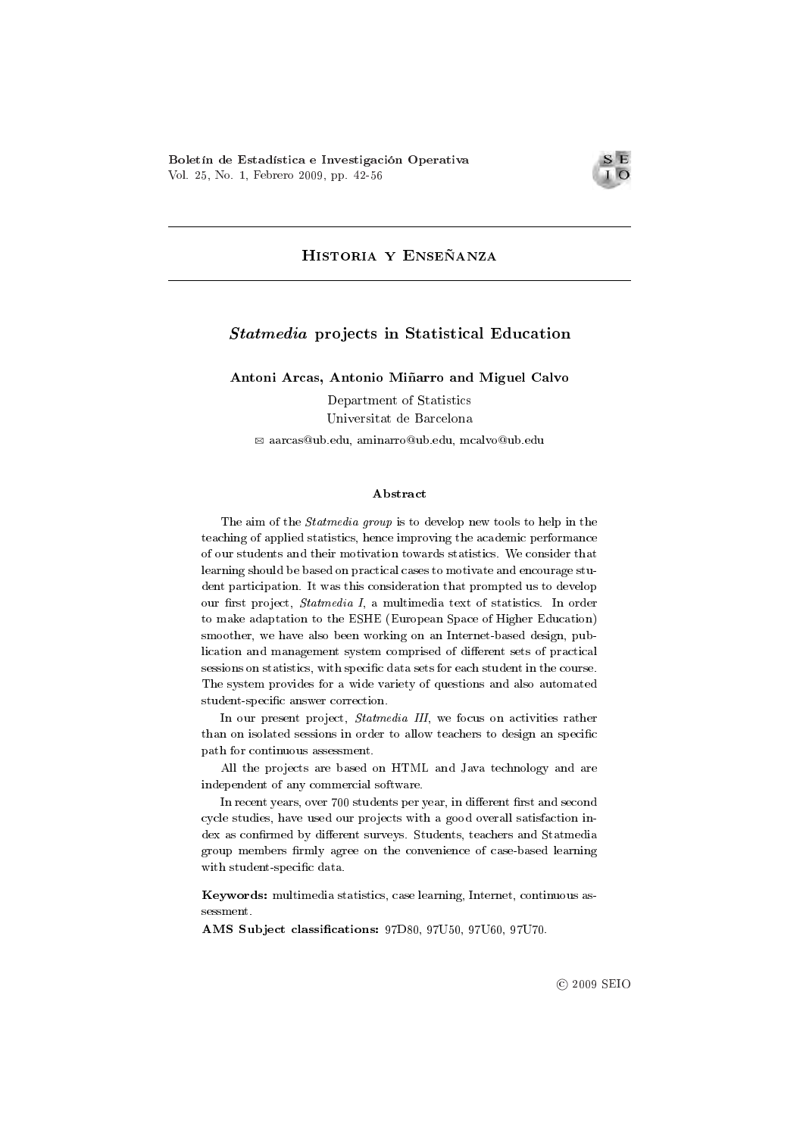

# Historia y Enseñanza

# Statmedia projects in Statistical Education

Antoni Arcas, Antonio Miñarro and Miguel Calvo

Department of Statistics Universitat de Barcelona

B aarcas@ub.edu, aminarro@ub.edu, mcalvo@ub.edu

#### Abstract

The aim of the *Statmedia group* is to develop new tools to help in the teaching of applied statistics, hence improving the academic performance of our students and their motivation towards statistics. We consider that learning should be based on practical cases to motivate and encourage student participation. It was this consideration that prompted us to develop our first project, Statmedia I, a multimedia text of statistics. In order to make adaptation to the ESHE (European Space of Higher Education) smoother, we have also been working on an Internet-based design, publication and management system comprised of different sets of practical sessions on statistics, with specific data sets for each student in the course. The system provides for a wide variety of questions and also automated student-specific answer correction.

In our present project, Statmedia III, we focus on activities rather than on isolated sessions in order to allow teachers to design an specific path for continuous assessment.

All the projects are based on HTML and Java technology and are independent of any commercial software.

In recent years, over 700 students per year, in different first and second cycle studies, have used our projects with a good overall satisfaction index as confirmed by different surveys. Students, teachers and Statmedia group members firmly agree on the convenience of case-based learning with student-specific data.

Keywords: multimedia statistics, case learning, Internet, continuous assessment.

AMS Subject classifications: 97D80, 97U50, 97U60, 97U70.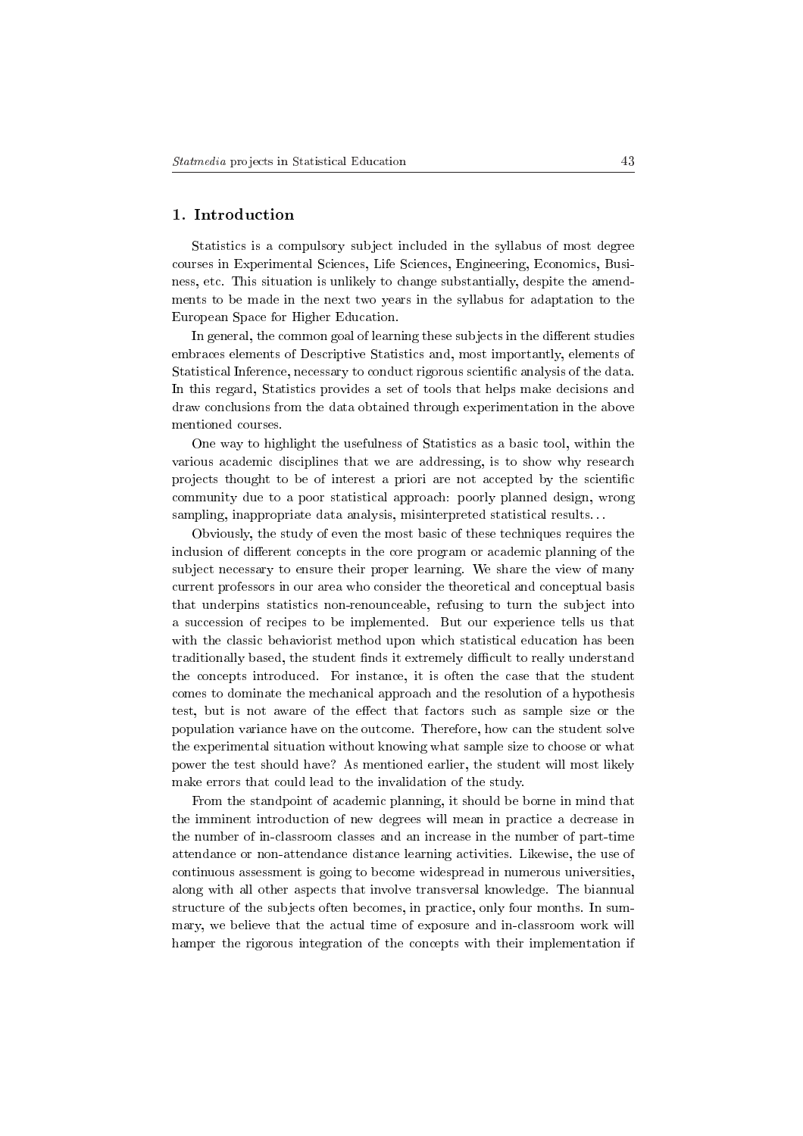## 1. Introduction

Statistics is a compulsory subject included in the syllabus of most degree courses in Experimental Sciences, Life Sciences, Engineering, Economics, Business, etc. This situation is unlikely to change substantially, despite the amendments to be made in the next two years in the syllabus for adaptation to the European Space for Higher Education.

In general, the common goal of learning these subjects in the different studies embraces elements of Descriptive Statistics and, most importantly, elements of Statistical Inference, necessary to conduct rigorous scientific analysis of the data. In this regard, Statistics provides a set of tools that helps make decisions and draw conclusions from the data obtained through experimentation in the above mentioned courses.

One way to highlight the usefulness of Statistics as a basic tool, within the various academic disciplines that we are addressing, is to show why research projects thought to be of interest a priori are not accepted by the scientic community due to a poor statistical approach: poorly planned design, wrong sampling, inappropriate data analysis, misinterpreted statistical results. . .

Obviously, the study of even the most basic of these techniques requires the inclusion of different concepts in the core program or academic planning of the subject necessary to ensure their proper learning. We share the view of many current professors in our area who consider the theoretical and conceptual basis that underpins statistics non-renounceable, refusing to turn the subject into a succession of recipes to be implemented. But our experience tells us that with the classic behaviorist method upon which statistical education has been traditionally based, the student finds it extremely difficult to really understand the concepts introduced. For instance, it is often the case that the student comes to dominate the mechanical approach and the resolution of a hypothesis test, but is not aware of the effect that factors such as sample size or the population variance have on the outcome. Therefore, how can the student solve the experimental situation without knowing what sample size to choose or what power the test should have? As mentioned earlier, the student will most likely make errors that could lead to the invalidation of the study.

From the standpoint of academic planning, it should be borne in mind that the imminent introduction of new degrees will mean in practice a decrease in the number of in-classroom classes and an increase in the number of part-time attendance or non-attendance distance learning activities. Likewise, the use of continuous assessment is going to become widespread in numerous universities, along with all other aspects that involve transversal knowledge. The biannual structure of the subjects often becomes, in practice, only four months. In summary, we believe that the actual time of exposure and in-classroom work will hamper the rigorous integration of the concepts with their implementation if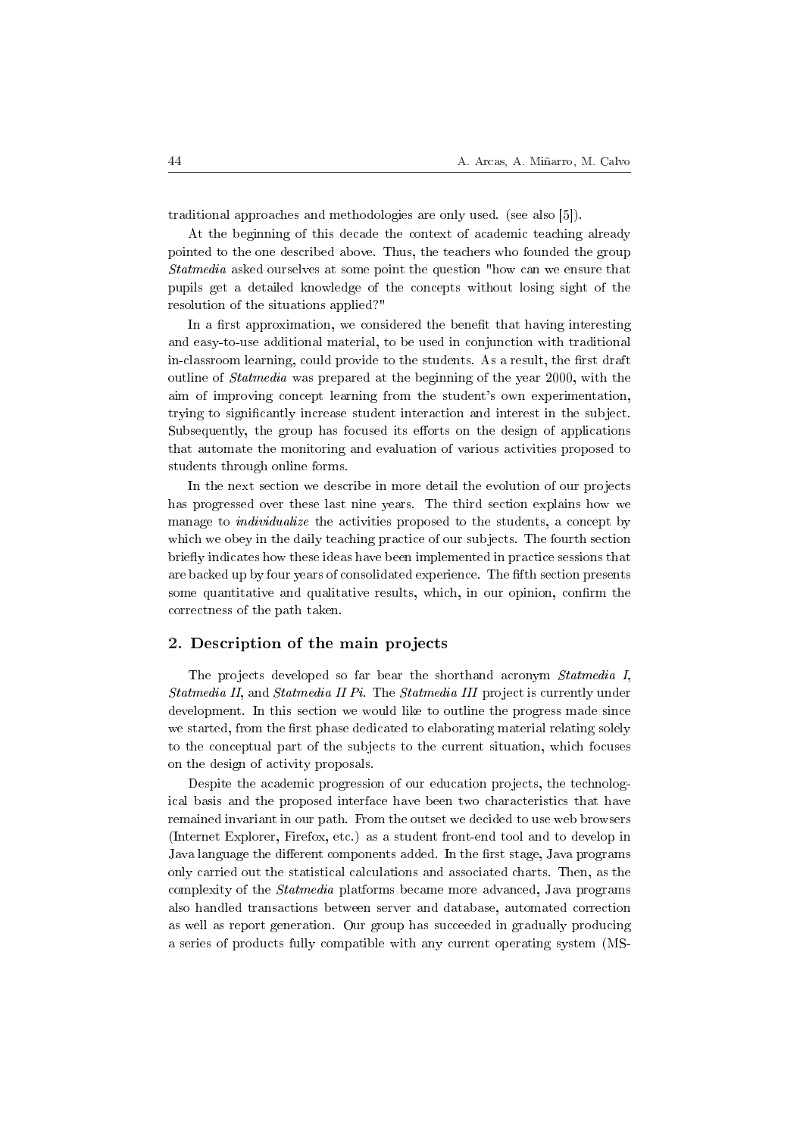traditional approaches and methodologies are only used. (see also [5]).

At the beginning of this decade the context of academic teaching already pointed to the one described above. Thus, the teachers who founded the group Statmedia asked ourselves at some point the question "how can we ensure that pupils get a detailed knowledge of the concepts without losing sight of the resolution of the situations applied?"

In a first approximation, we considered the benefit that having interesting and easy-to-use additional material, to be used in conjunction with traditional in-classroom learning, could provide to the students. As a result, the first draft outline of Statmedia was prepared at the beginning of the year 2000, with the aim of improving concept learning from the student's own experimentation, trying to signicantly increase student interaction and interest in the subject. Subsequently, the group has focused its efforts on the design of applications that automate the monitoring and evaluation of various activities proposed to students through online forms.

In the next section we describe in more detail the evolution of our projects has progressed over these last nine years. The third section explains how we manage to *individualize* the activities proposed to the students, a concept by which we obey in the daily teaching practice of our subjects. The fourth section briefly indicates how these ideas have been implemented in practice sessions that are backed up by four years of consolidated experience. The fth section presents some quantitative and qualitative results, which, in our opinion, confirm the correctness of the path taken.

## 2. Description of the main projects

The projects developed so far bear the shorthand acronym Statmedia I, Statmedia II, and Statmedia II Pi. The Statmedia III project is currently under development. In this section we would like to outline the progress made since we started, from the first phase dedicated to elaborating material relating solely to the conceptual part of the subjects to the current situation, which focuses on the design of activity proposals.

Despite the academic progression of our education projects, the technological basis and the proposed interface have been two characteristics that have remained invariant in our path. From the outset we decided to use web browsers (Internet Explorer, Firefox, etc.) as a student front-end tool and to develop in Java language the different components added. In the first stage, Java programs only carried out the statistical calculations and associated charts. Then, as the complexity of the Statmedia platforms became more advanced, Java programs also handled transactions between server and database, automated correction as well as report generation. Our group has succeeded in gradually producing a series of products fully compatible with any current operating system (MS-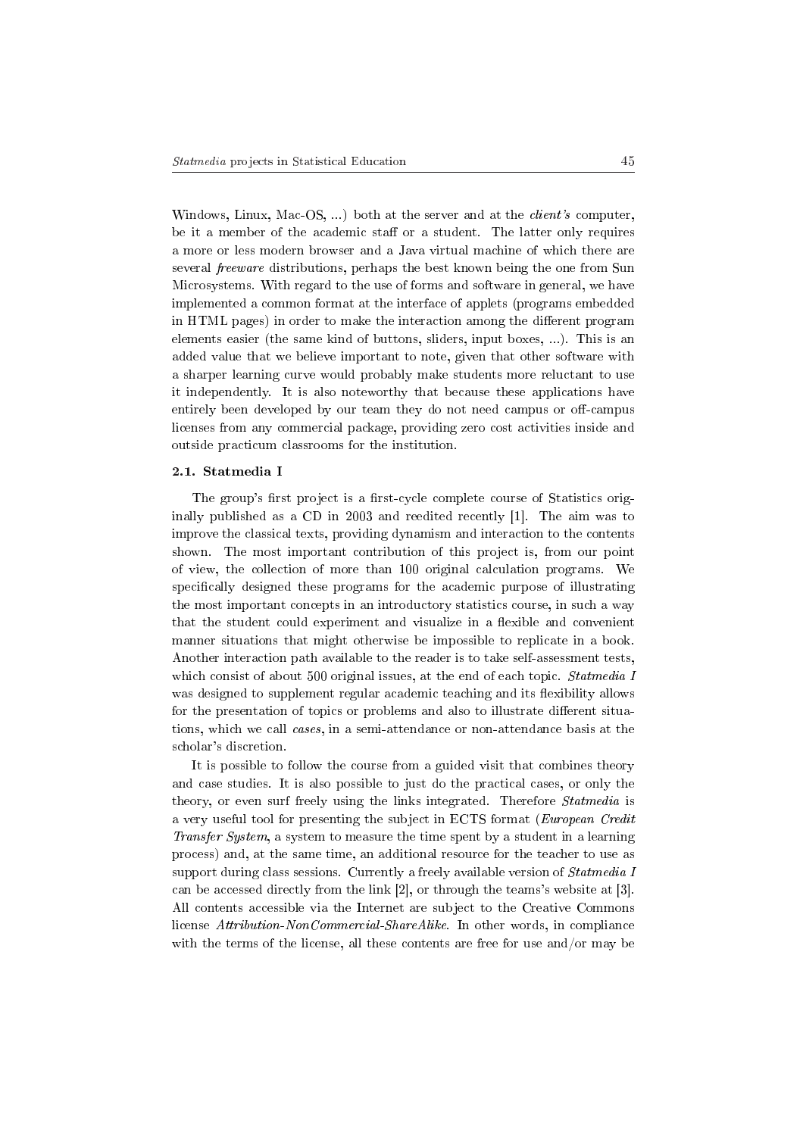Windows, Linux, Mac-OS, ...) both at the server and at the *client's* computer, be it a member of the academic staff or a student. The latter only requires a more or less modern browser and a Java virtual machine of which there are several freeware distributions, perhaps the best known being the one from Sun Microsystems. With regard to the use of forms and software in general, we have implemented a common format at the interface of applets (programs embedded in HTML pages) in order to make the interaction among the different program elements easier (the same kind of buttons, sliders, input boxes, ...). This is an added value that we believe important to note, given that other software with a sharper learning curve would probably make students more reluctant to use it independently. It is also noteworthy that because these applications have entirely been developed by our team they do not need campus or off-campus licenses from any commercial package, providing zero cost activities inside and outside practicum classrooms for the institution.

#### 2.1. Statmedia I

The group's first project is a first-cycle complete course of Statistics originally published as a CD in 2003 and reedited recently [1]. The aim was to improve the classical texts, providing dynamism and interaction to the contents shown. The most important contribution of this project is, from our point of view, the collection of more than 100 original calculation programs. We specifically designed these programs for the academic purpose of illustrating the most important concepts in an introductory statistics course, in such a way that the student could experiment and visualize in a flexible and convenient manner situations that might otherwise be impossible to replicate in a book. Another interaction path available to the reader is to take self-assessment tests, which consist of about 500 original issues, at the end of each topic. *Statmedia I* was designed to supplement regular academic teaching and its flexibility allows for the presentation of topics or problems and also to illustrate different situations, which we call cases, in a semi-attendance or non-attendance basis at the scholar's discretion.

It is possible to follow the course from a guided visit that combines theory and case studies. It is also possible to just do the practical cases, or only the theory, or even surf freely using the links integrated. Therefore *Statmedia* is a very useful tool for presenting the subject in ECTS format (European Credit Transfer System, a system to measure the time spent by a student in a learning process) and, at the same time, an additional resource for the teacher to use as support during class sessions. Currently a freely available version of *Statmedia I* can be accessed directly from the link [2], or through the teams's website at [3]. All contents accessible via the Internet are subject to the Creative Commons license Attribution-NonCommercial-ShareAlike. In other words, in compliance with the terms of the license, all these contents are free for use and/or may be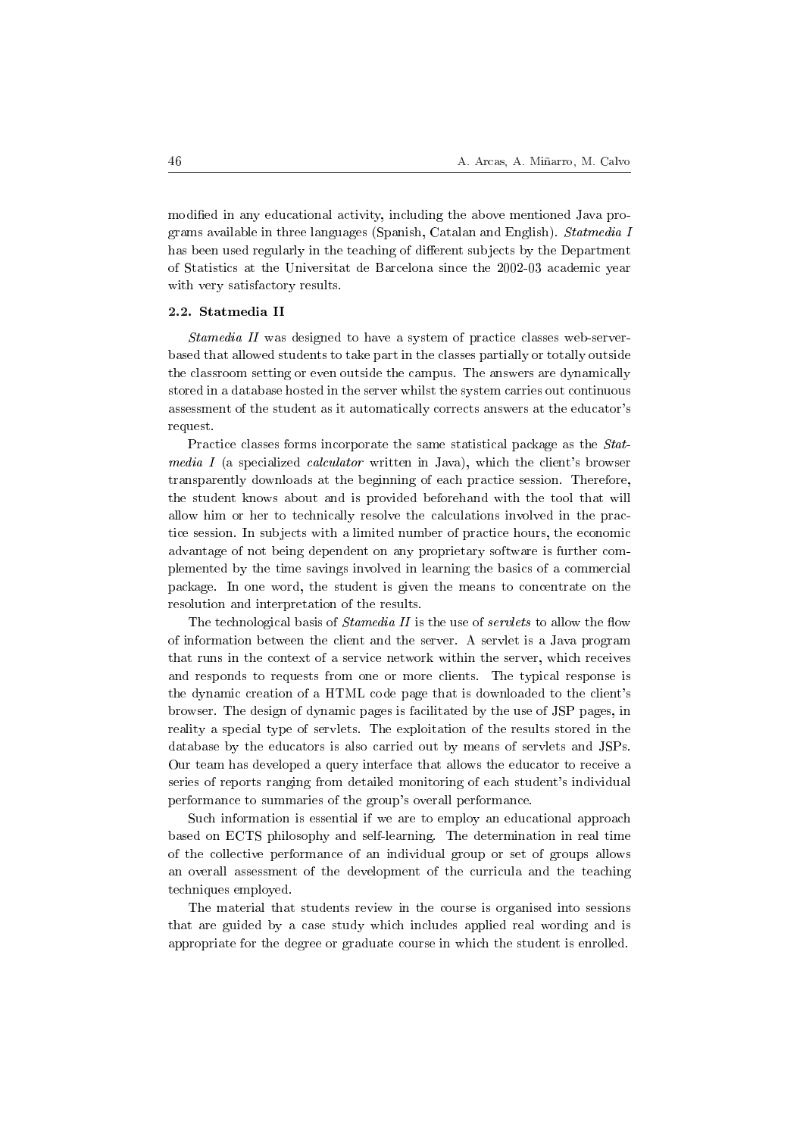modified in any educational activity, including the above mentioned Java programs available in three languages (Spanish, Catalan and English). Statmedia I has been used regularly in the teaching of different subjects by the Department of Statistics at the Universitat de Barcelona since the 2002-03 academic year with very satisfactory results.

#### 2.2. Statmedia II

Stamedia II was designed to have a system of practice classes web-serverbased that allowed students to take part in the classes partially or totally outside the classroom setting or even outside the campus. The answers are dynamically stored in a database hosted in the server whilst the system carries out continuous assessment of the student as it automatically corrects answers at the educator's request.

Practice classes forms incorporate the same statistical package as the Statmedia I (a specialized calculator written in Java), which the client's browser transparently downloads at the beginning of each practice session. Therefore, the student knows about and is provided beforehand with the tool that will allow him or her to technically resolve the calculations involved in the practice session. In subjects with a limited number of practice hours, the economic advantage of not being dependent on any proprietary software is further complemented by the time savings involved in learning the basics of a commercial package. In one word, the student is given the means to concentrate on the resolution and interpretation of the results.

The technological basis of *Stamedia II* is the use of *servlets* to allow the flow of information between the client and the server. A servlet is a Java program that runs in the context of a service network within the server, which receives and responds to requests from one or more clients. The typical response is the dynamic creation of a HTML code page that is downloaded to the client's browser. The design of dynamic pages is facilitated by the use of JSP pages, in reality a special type of servlets. The exploitation of the results stored in the database by the educators is also carried out by means of servlets and JSPs. Our team has developed a query interface that allows the educator to receive a series of reports ranging from detailed monitoring of each student's individual performance to summaries of the group's overall performance.

Such information is essential if we are to employ an educational approach based on ECTS philosophy and self-learning. The determination in real time of the collective performance of an individual group or set of groups allows an overall assessment of the development of the curricula and the teaching techniques employed.

The material that students review in the course is organised into sessions that are guided by a case study which includes applied real wording and is appropriate for the degree or graduate course in which the student is enrolled.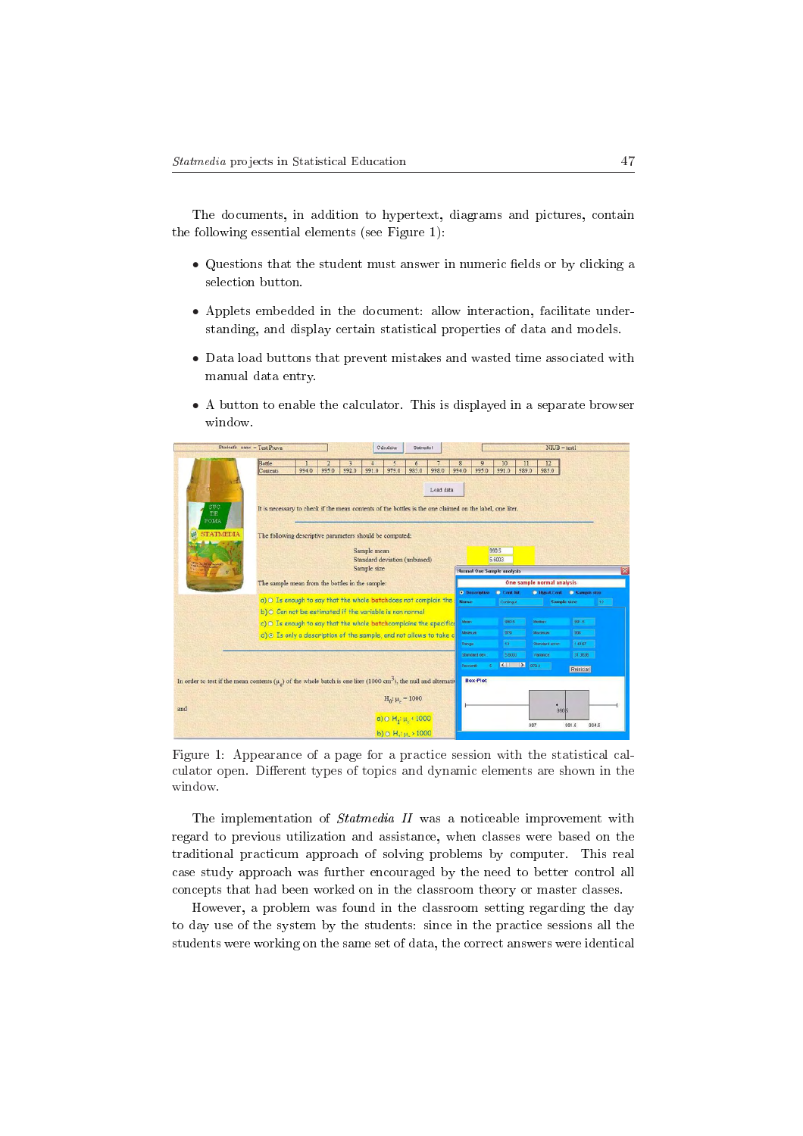The documents, in addition to hypertext, diagrams and pictures, contain the following essential elements (see Figure 1):

- Questions that the student must answer in numeric fields or by clicking a selection button.
- Applets embedded in the document: allow interaction, facilitate understanding, and display certain statistical properties of data and models.
- Data load buttons that prevent mistakes and wasted time associated with manual data entry.
- A button to enable the calculator. This is displayed in a separate browser window.

|                                                                                                                                   | Students name = Test Prova                                                                               |       |       |                                              |             | Calculator                  | Statmocla I |                 |              |                            |                                   |             | $NIUB = test1$        |               |       |
|-----------------------------------------------------------------------------------------------------------------------------------|----------------------------------------------------------------------------------------------------------|-------|-------|----------------------------------------------|-------------|-----------------------------|-------------|-----------------|--------------|----------------------------|-----------------------------------|-------------|-----------------------|---------------|-------|
|                                                                                                                                   | Bottle<br><b>Contents</b>                                                                                | 994.0 | 995.0 | ٦<br>992.0                                   | 991.0       | 5<br>979.0                  | 6<br>983.0  | 998.0           | 994.0        | $\mathbf{9}$<br>995.0      | 10<br>991.0                       | 11<br>989.0 | 12<br>985.0           |               |       |
|                                                                                                                                   |                                                                                                          |       |       |                                              |             |                             |             | Load data       |              |                            |                                   |             |                       |               |       |
| SUC<br>DE<br>POMA                                                                                                                 | It is necessary to check if the mean contents of the bottles is the one claimed on the label, one liter. |       |       |                                              |             |                             |             |                 |              |                            |                                   |             |                       |               |       |
| <b>STATMEDIA</b>                                                                                                                  | The following descriptive parameters should be computed:                                                 |       |       |                                              |             |                             |             |                 |              |                            |                                   |             |                       |               |       |
|                                                                                                                                   |                                                                                                          |       |       | Sample mean<br>Standard deviation (unbiased) |             |                             |             | 990.5<br>5.6003 |              |                            |                                   |             |                       |               |       |
|                                                                                                                                   |                                                                                                          |       |       |                                              | Sample size |                             |             |                 |              |                            | <b>Normal One Sample analysis</b> |             |                       |               |       |
|                                                                                                                                   | The sample mean from the bottles in the sample:                                                          |       |       |                                              |             |                             |             |                 |              | One sample normal analysis |                                   |             |                       |               |       |
|                                                                                                                                   | a) O Is enough to say that the whole batchdoes not complain the                                          |       |       |                                              |             |                             |             |                 |              | <b>O</b> Descriptive       | Cont. Int.                        |             | <b>Based.Cont.</b>    | C Sample size |       |
|                                                                                                                                   | b) O Can not be estimated if the variable is non normal                                                  |       |       |                                              |             |                             |             |                 | <b>Name:</b> |                            | Continguit                        |             | Sample size:          |               | 132   |
|                                                                                                                                   | c) O Is enough to say that the whole batchcomplains the specific                                         |       |       |                                              |             |                             |             |                 | Mean         |                            | 990.5                             |             | Modian.               | 991.5         |       |
|                                                                                                                                   | d) © Is only a description of the sample, and not allows to take c                                       |       |       |                                              |             |                             |             |                 | Minimum      |                            | 979                               |             | Maximum               | 598           |       |
|                                                                                                                                   |                                                                                                          |       |       |                                              |             |                             |             |                 | Range:       |                            | 19                                |             | <b>Shandard error</b> | 1.6167        |       |
|                                                                                                                                   |                                                                                                          |       |       |                                              |             |                             |             |                 |              | Standard dev.              | 5.5000                            |             | Variance              | 31.3535       |       |
|                                                                                                                                   |                                                                                                          |       |       |                                              |             |                             |             |                 | Percentil    |                            | $ X $ $ X $                       | 979.4       |                       | Reinician     |       |
| In order to test if the mean contents $(\mu_e)$ of the whole batch is one liter (1000 cm <sup>3</sup> ), the null and alternative |                                                                                                          |       |       |                                              |             |                             |             |                 |              | <b>Box-Plot</b>            |                                   |             |                       |               |       |
|                                                                                                                                   |                                                                                                          |       |       |                                              |             |                             |             |                 |              |                            |                                   |             |                       |               |       |
|                                                                                                                                   |                                                                                                          |       |       |                                              |             | $H_0$ : $\mu_c = 1000$      |             |                 |              |                            |                                   |             |                       |               |       |
| and                                                                                                                               |                                                                                                          |       |       |                                              |             | a) o $H_4$ : $\mu_2$ < 1000 |             |                 |              |                            |                                   |             | 990 5                 |               |       |
|                                                                                                                                   |                                                                                                          |       |       |                                              |             |                             |             |                 |              |                            |                                   | 907         |                       | 991.5         | 994.5 |
|                                                                                                                                   |                                                                                                          |       |       |                                              |             | b) $O(H_i: \mu > 1000$      |             |                 |              |                            |                                   |             |                       |               |       |

Figure 1: Appearance of a page for a practice session with the statistical calculator open. Different types of topics and dynamic elements are shown in the window.

The implementation of *Statmedia II* was a noticeable improvement with regard to previous utilization and assistance, when classes were based on the traditional practicum approach of solving problems by computer. This real case study approach was further encouraged by the need to better control all concepts that had been worked on in the classroom theory or master classes.

However, a problem was found in the classroom setting regarding the day to day use of the system by the students: since in the practice sessions all the students were working on the same set of data, the correct answers were identical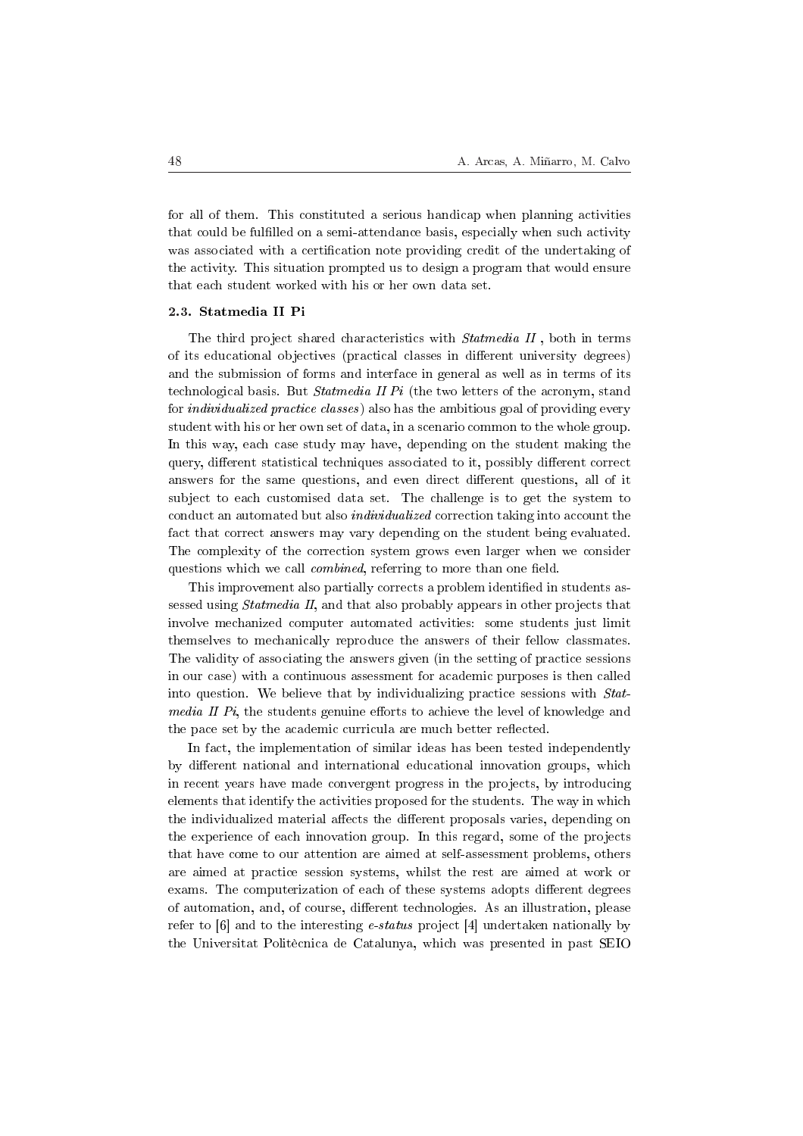for all of them. This constituted a serious handicap when planning activities that could be fullled on a semi-attendance basis, especially when such activity was associated with a certification note providing credit of the undertaking of the activity. This situation prompted us to design a program that would ensure that each student worked with his or her own data set.

#### 2.3. Statmedia II Pi

The third project shared characteristics with *Statmedia II*, both in terms of its educational objectives (practical classes in different university degrees) and the submission of forms and interface in general as well as in terms of its technological basis. But Statmedia II Pi (the two letters of the acronym, stand for individualized practice classes) also has the ambitious goal of providing every student with his or her own set of data, in a scenario common to the whole group. In this way, each case study may have, depending on the student making the query, different statistical techniques associated to it, possibly different correct answers for the same questions, and even direct different questions, all of it subject to each customised data set. The challenge is to get the system to conduct an automated but also individualized correction taking into account the fact that correct answers may vary depending on the student being evaluated. The complexity of the correction system grows even larger when we consider questions which we call *combined*, referring to more than one field.

This improvement also partially corrects a problem identified in students assessed using Statmedia II, and that also probably appears in other projects that involve mechanized computer automated activities: some students just limit themselves to mechanically reproduce the answers of their fellow classmates. The validity of associating the answers given (in the setting of practice sessions in our case) with a continuous assessment for academic purposes is then called into question. We believe that by individualizing practice sessions with Stat*media II Pi*, the students genuine efforts to achieve the level of knowledge and the pace set by the academic curricula are much better reflected.

In fact, the implementation of similar ideas has been tested independently by different national and international educational innovation groups, which in recent years have made convergent progress in the projects, by introducing elements that identify the activities proposed for the students. The way in which the individualized material affects the different proposals varies, depending on the experience of each innovation group. In this regard, some of the projects that have come to our attention are aimed at self-assessment problems, others are aimed at practice session systems, whilst the rest are aimed at work or exams. The computerization of each of these systems adopts different degrees of automation, and, of course, different technologies. As an illustration, please refer to  $[6]$  and to the interesting *e-status* project  $[4]$  undertaken nationally by the Universitat Politècnica de Catalunya, which was presented in past SEIO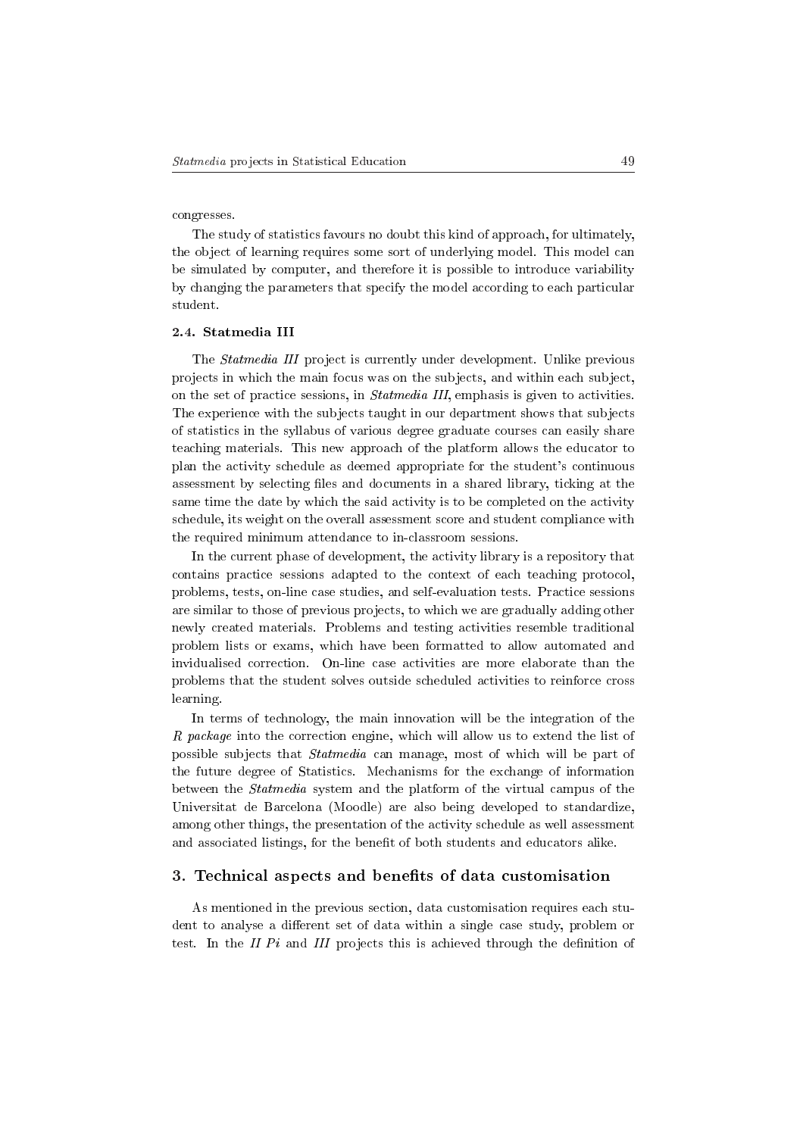congresses.

The study of statistics favours no doubt this kind of approach, for ultimately, the object of learning requires some sort of underlying model. This model can be simulated by computer, and therefore it is possible to introduce variability by changing the parameters that specify the model according to each particular student.

#### 2.4. Statmedia III

The Statmedia III project is currently under development. Unlike previous projects in which the main focus was on the subjects, and within each subject, on the set of practice sessions, in Statmedia III, emphasis is given to activities. The experience with the subjects taught in our department shows that subjects of statistics in the syllabus of various degree graduate courses can easily share teaching materials. This new approach of the platform allows the educator to plan the activity schedule as deemed appropriate for the student's continuous assessment by selecting files and documents in a shared library, ticking at the same time the date by which the said activity is to be completed on the activity schedule, its weight on the overall assessment score and student compliance with the required minimum attendance to in-classroom sessions.

In the current phase of development, the activity library is a repository that contains practice sessions adapted to the context of each teaching protocol, problems, tests, on-line case studies, and self-evaluation tests. Practice sessions are similar to those of previous projects, to which we are gradually adding other newly created materials. Problems and testing activities resemble traditional problem lists or exams, which have been formatted to allow automated and invidualised correction. On-line case activities are more elaborate than the problems that the student solves outside scheduled activities to reinforce cross learning.

In terms of technology, the main innovation will be the integration of the R package into the correction engine, which will allow us to extend the list of possible subjects that Statmedia can manage, most of which will be part of the future degree of Statistics. Mechanisms for the exchange of information between the Statmedia system and the platform of the virtual campus of the Universitat de Barcelona (Moodle) are also being developed to standardize, among other things, the presentation of the activity schedule as well assessment and associated listings, for the benefit of both students and educators alike.

#### 3. Technical aspects and benets of data customisation

As mentioned in the previous section, data customisation requires each student to analyse a different set of data within a single case study, problem or test. In the II  $Pi$  and III projects this is achieved through the definition of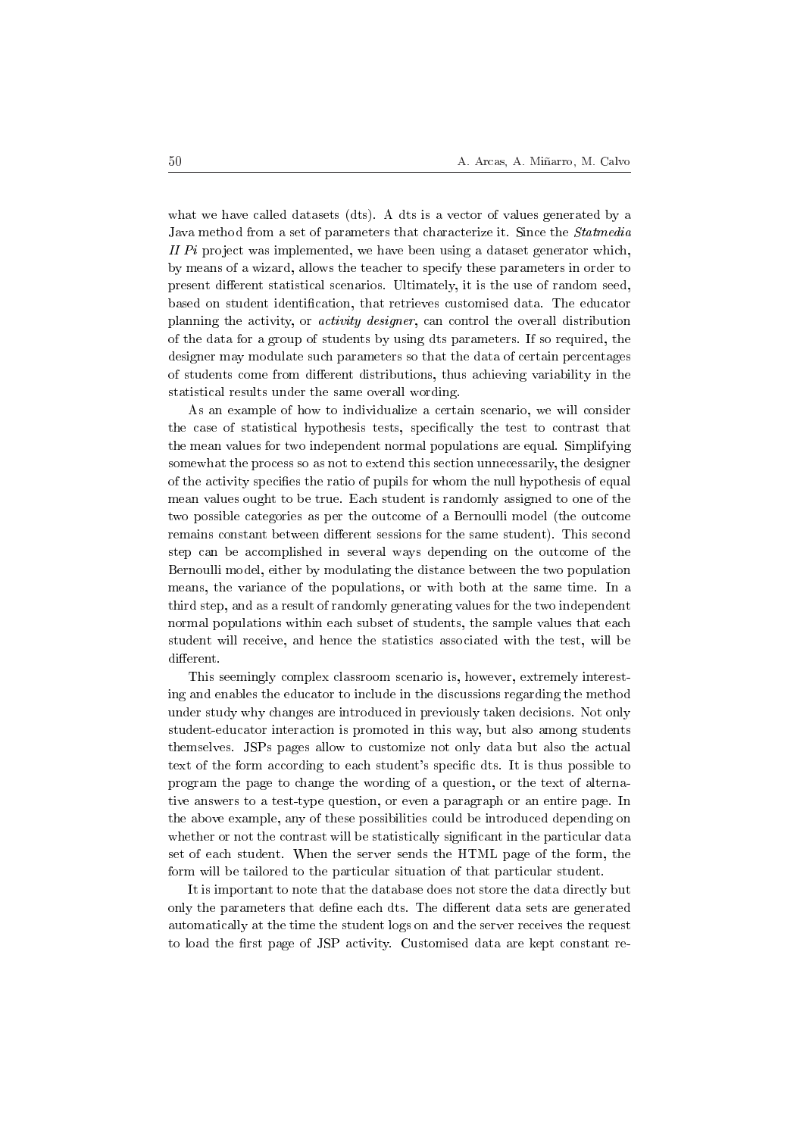what we have called datasets (dts). A dts is a vector of values generated by a Java method from a set of parameters that characterize it. Since the Statmedia II  $Pi$  project was implemented, we have been using a dataset generator which, by means of a wizard, allows the teacher to specify these parameters in order to present different statistical scenarios. Ultimately, it is the use of random seed, based on student identification, that retrieves customised data. The educator planning the activity, or activity designer, can control the overall distribution of the data for a group of students by using dts parameters. If so required, the designer may modulate such parameters so that the data of certain percentages of students come from different distributions, thus achieving variability in the statistical results under the same overall wording.

As an example of how to individualize a certain scenario, we will consider the case of statistical hypothesis tests, specifically the test to contrast that the mean values for two independent normal populations are equal. Simplifying somewhat the process so as not to extend this section unnecessarily, the designer of the activity specifies the ratio of pupils for whom the null hypothesis of equal mean values ought to be true. Each student is randomly assigned to one of the two possible categories as per the outcome of a Bernoulli model (the outcome remains constant between different sessions for the same student). This second step can be accomplished in several ways depending on the outcome of the Bernoulli model, either by modulating the distance between the two population means, the variance of the populations, or with both at the same time. In a third step, and as a result of randomly generating values for the two independent normal populations within each subset of students, the sample values that each student will receive, and hence the statistics associated with the test, will be different.

This seemingly complex classroom scenario is, however, extremely interesting and enables the educator to include in the discussions regarding the method under study why changes are introduced in previously taken decisions. Not only student-educator interaction is promoted in this way, but also among students themselves. JSPs pages allow to customize not only data but also the actual text of the form according to each student's specific dts. It is thus possible to program the page to change the wording of a question, or the text of alternative answers to a test-type question, or even a paragraph or an entire page. In the above example, any of these possibilities could be introduced depending on whether or not the contrast will be statistically significant in the particular data set of each student. When the server sends the HTML page of the form, the form will be tailored to the particular situation of that particular student.

It is important to note that the database does not store the data directly but only the parameters that define each dts. The different data sets are generated automatically at the time the student logs on and the server receives the request to load the first page of JSP activity. Customised data are kept constant re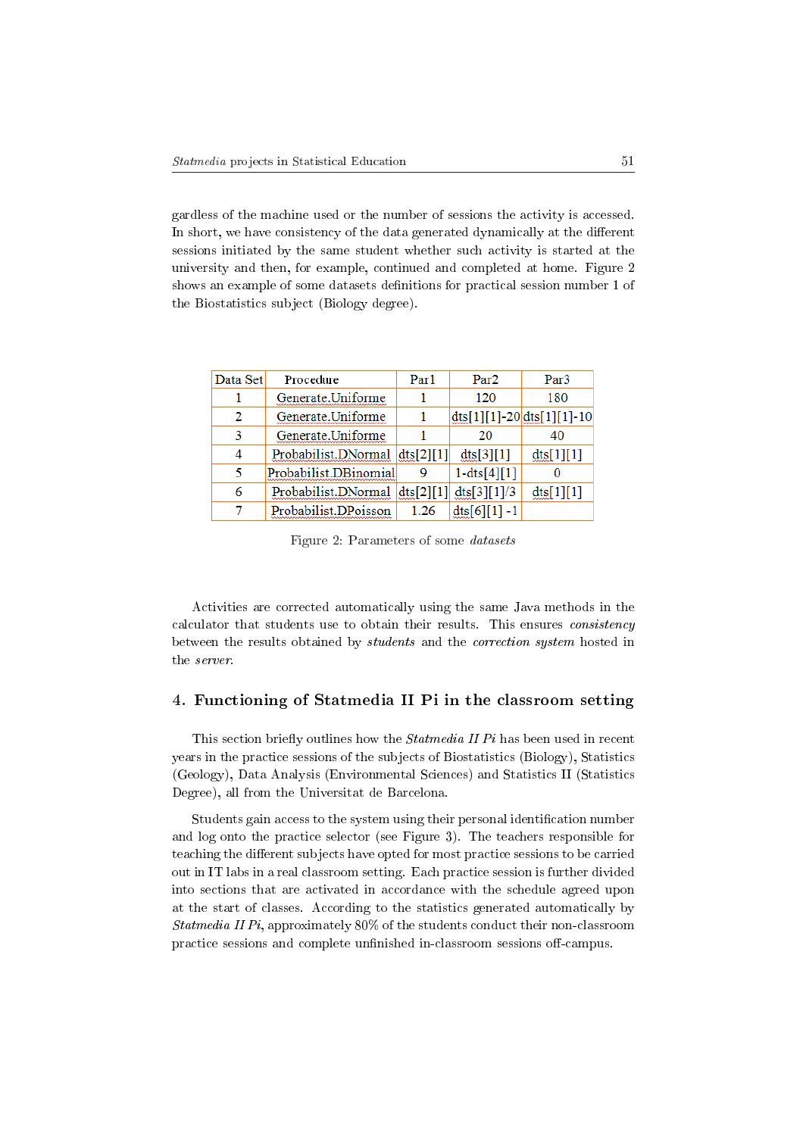gardless of the machine used or the number of sessions the activity is accessed. In short, we have consistency of the data generated dynamically at the different sessions initiated by the same student whether such activity is started at the university and then, for example, continued and completed at home. Figure 2 shows an example of some datasets denitions for practical session number 1 of the Biostatistics subject (Biology degree).

| Data Set | Procedure             | Par1      | Par <sub>2</sub> | Par3                                                |
|----------|-----------------------|-----------|------------------|-----------------------------------------------------|
|          | Generate.Uniforme     |           | 120              | 180                                                 |
| 2        | Generate.Uniforme     |           |                  | $\frac{d}{dt}$ s[1][1]-20 $\frac{d}{dt}$ s[1][1]-10 |
| 3        | Generate.Uniforme     |           | 20               | 40                                                  |
|          | Probabilist.DNormal   | dts[2][1] | dts[3][1]        | dts[1][1]                                           |
| ۲        | Probabilist.DBinomial | 9         | $1 - dts[4][1]$  |                                                     |
| 6        | Probabilist.DNormal   | dts[2][1] | dts[3][1]/3      | dist[1][1]                                          |
|          | Probabilist.DPoisson  | 1.26      | $dts[6][1]-1$    |                                                     |

Figure 2: Parameters of some datasets

Activities are corrected automatically using the same Java methods in the calculator that students use to obtain their results. This ensures consistency between the results obtained by students and the correction system hosted in the server.

## 4. Functioning of Statmedia II Pi in the classroom setting

This section briefly outlines how the  $Statmedia II Pi$  has been used in recent years in the practice sessions of the subjects of Biostatistics (Biology), Statistics (Geology), Data Analysis (Environmental Sciences) and Statistics II (Statistics Degree), all from the Universitat de Barcelona.

Students gain access to the system using their personal identification number and log onto the practice selector (see Figure 3). The teachers responsible for teaching the different subjects have opted for most practice sessions to be carried out in IT labs in a real classroom setting. Each practice session is further divided into sections that are activated in accordance with the schedule agreed upon at the start of classes. According to the statistics generated automatically by Statmedia II Pi, approximately 80% of the students conduct their non-classroom practice sessions and complete unfinished in-classroom sessions off-campus.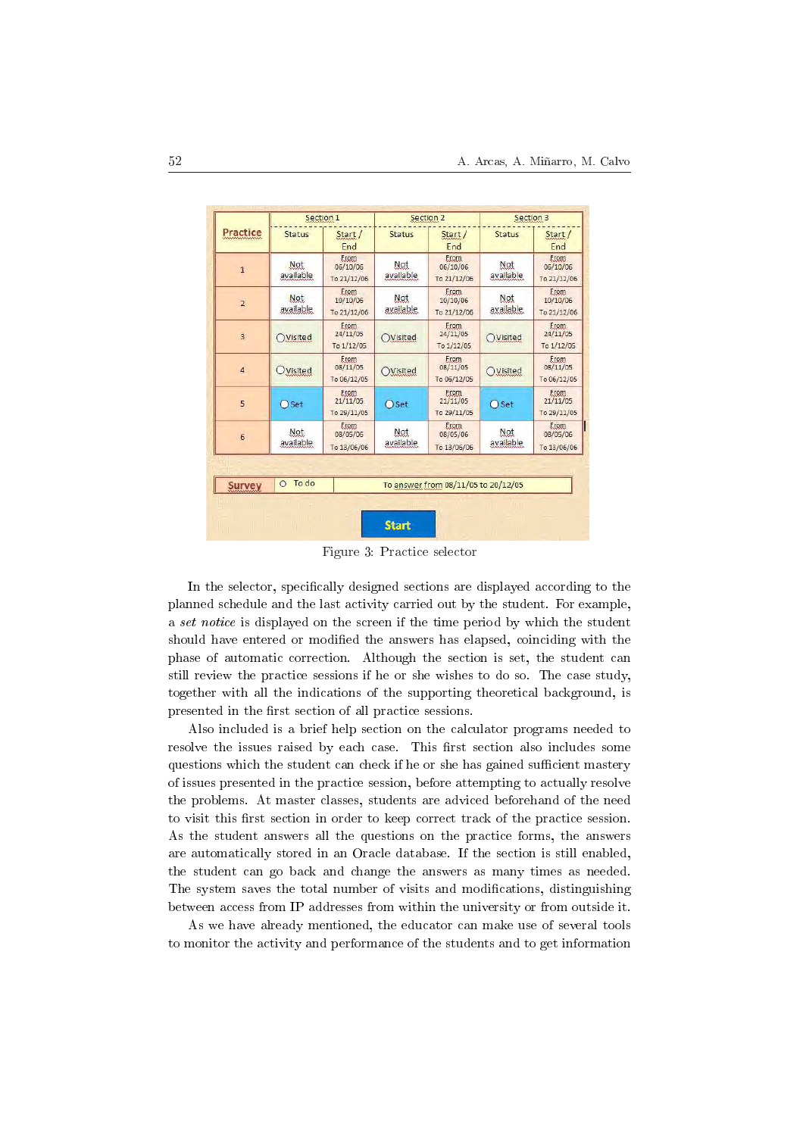| Practice       |                  | Section 1                        |                                            | Section 2                        | Section 3        |                                        |  |  |
|----------------|------------------|----------------------------------|--------------------------------------------|----------------------------------|------------------|----------------------------------------|--|--|
|                | <b>Status</b>    | Start /<br>End                   | <b>Status</b>                              | Start /<br>End                   | <b>Status</b>    | Start /<br>End                         |  |  |
| $\mathbf{1}$   | Not<br>available | Erom<br>06/10/06<br>To 21/12/06  | Not<br>available                           | Erom<br>06/10/06<br>To 21/12/06  | Not<br>available | Erom<br>06/10/06<br>To 21/12/06        |  |  |
| $\overline{2}$ | Not<br>available | Erom<br>10/10/06<br>To 21/12/06  | Not<br>available                           | Erom<br>10/10/06<br>To 21/12/06  | Not<br>available | Erom.<br>10/10/06<br>To 21/12/06       |  |  |
| $\overline{3}$ | Visited          | Erom<br>24/11/05<br>To 1/12/05   | OVisited                                   | From<br>24/11/05<br>To 1/12/05   | OVisited         | From<br>24/11/05<br>To 1/12/05         |  |  |
| $\overline{4}$ | <b>OVisited</b>  | Erom<br>08/11/05<br>To 06/12/05  | Erom<br>08/11/05<br>Visited<br>To 06/12/05 |                                  | OVisited         | Erom<br>08/11/05<br>To 06/12/05        |  |  |
| 5              | $\bigcap$ Set    | Erom<br>21/11/05<br>To 29/11/05  | $\bigcap$ Set                              | Erom<br>21/11/05<br>To 29/11/05  | $O$ Set          | <b>Erom</b><br>21/11/05<br>To 29/11/05 |  |  |
| 6              | Not<br>available | Erom.<br>08/05/06<br>To 13/06/06 | Not<br>available                           | Erom.<br>08/05/06<br>To 13/06/06 | Not<br>available | Erom.<br>08/05/06<br>To 13/06/06       |  |  |
|                |                  |                                  |                                            |                                  |                  |                                        |  |  |
| <b>Survey</b>  | To do<br>$\circ$ |                                  | To answer from 08/11/05 to 20/12/05        |                                  |                  |                                        |  |  |

Figure 3: Practice selector

In the selector, specifically designed sections are displayed according to the planned schedule and the last activity carried out by the student. For example, a set notice is displayed on the screen if the time period by which the student should have entered or modified the answers has elapsed, coinciding with the phase of automatic correction. Although the section is set, the student can still review the practice sessions if he or she wishes to do so. The case study, together with all the indications of the supporting theoretical background, is presented in the first section of all practice sessions.

Also included is a brief help section on the calculator programs needed to resolve the issues raised by each case. This first section also includes some questions which the student can check if he or she has gained sufficient mastery of issues presented in the practice session, before attempting to actually resolve the problems. At master classes, students are adviced beforehand of the need to visit this first section in order to keep correct track of the practice session. As the student answers all the questions on the practice forms, the answers are automatically stored in an Oracle database. If the section is still enabled, the student can go back and change the answers as many times as needed. The system saves the total number of visits and modifications, distinguishing between access from IP addresses from within the university or from outside it.

As we have already mentioned, the educator can make use of several tools to monitor the activity and performance of the students and to get information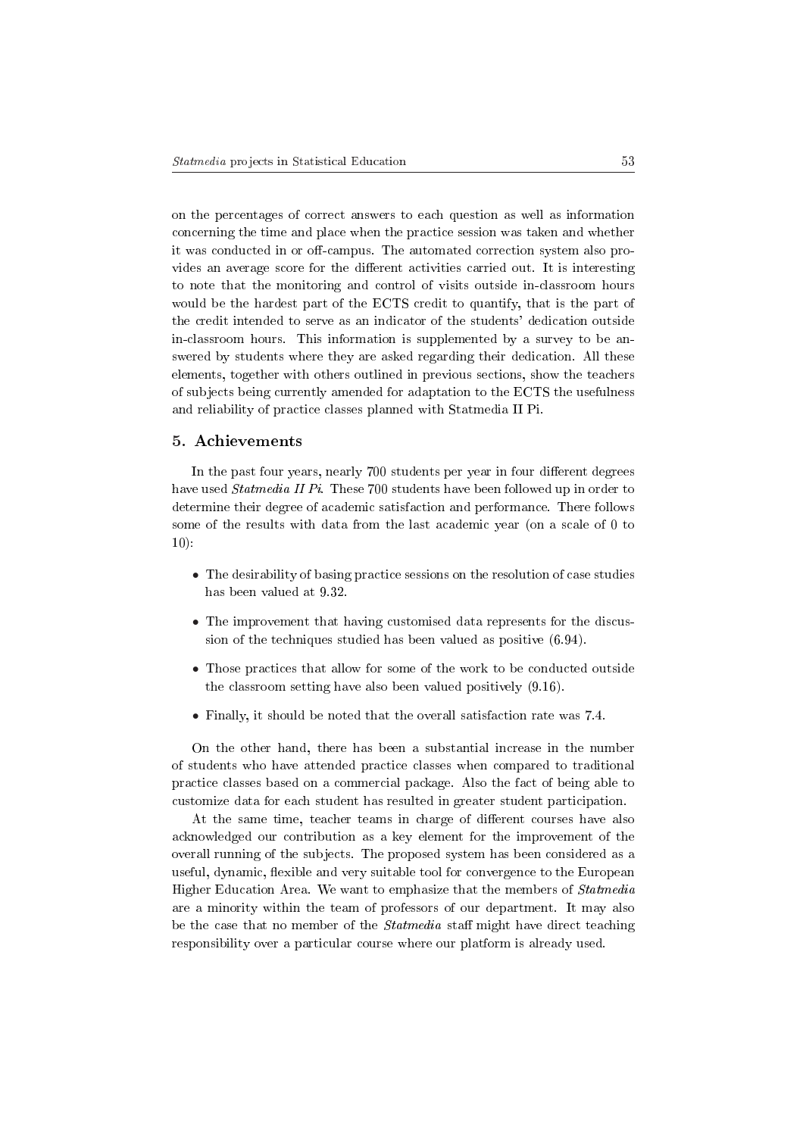on the percentages of correct answers to each question as well as information concerning the time and place when the practice session was taken and whether it was conducted in or off-campus. The automated correction system also provides an average score for the different activities carried out. It is interesting to note that the monitoring and control of visits outside in-classroom hours would be the hardest part of the ECTS credit to quantify, that is the part of the credit intended to serve as an indicator of the students' dedication outside in-classroom hours. This information is supplemented by a survey to be answered by students where they are asked regarding their dedication. All these elements, together with others outlined in previous sections, show the teachers of subjects being currently amended for adaptation to the ECTS the usefulness and reliability of practice classes planned with Statmedia II Pi.

### 5. Achievements

In the past four years, nearly 700 students per year in four different degrees have used *Statmedia II Pi*. These 700 students have been followed up in order to determine their degree of academic satisfaction and performance. There follows some of the results with data from the last academic year (on a scale of 0 to  $10$ :

- The desirability of basing practice sessions on the resolution of case studies has been valued at 9.32.
- The improvement that having customised data represents for the discussion of the techniques studied has been valued as positive (6.94).
- Those practices that allow for some of the work to be conducted outside the classroom setting have also been valued positively (9.16).
- Finally, it should be noted that the overall satisfaction rate was 7.4.

On the other hand, there has been a substantial increase in the number of students who have attended practice classes when compared to traditional practice classes based on a commercial package. Also the fact of being able to customize data for each student has resulted in greater student participation.

At the same time, teacher teams in charge of different courses have also acknowledged our contribution as a key element for the improvement of the overall running of the subjects. The proposed system has been considered as a useful, dynamic, flexible and very suitable tool for convergence to the European Higher Education Area. We want to emphasize that the members of Statmedia are a minority within the team of professors of our department. It may also be the case that no member of the *Statmedia* staff might have direct teaching responsibility over a particular course where our platform is already used.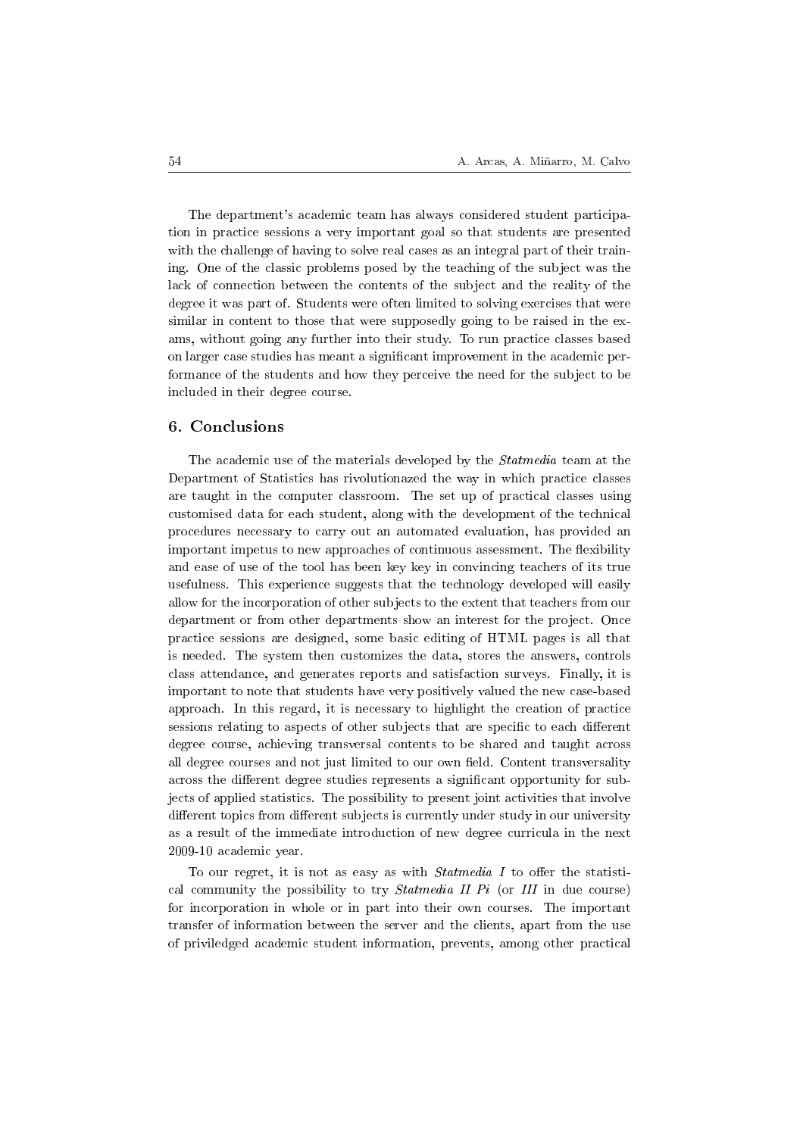The department's academic team has always considered student participation in practice sessions a very important goal so that students are presented with the challenge of having to solve real cases as an integral part of their training. One of the classic problems posed by the teaching of the subject was the lack of connection between the contents of the subject and the reality of the degree it was part of. Students were often limited to solving exercises that were similar in content to those that were supposedly going to be raised in the exams, without going any further into their study. To run practice classes based on larger case studies has meant a signicant improvement in the academic performance of the students and how they perceive the need for the subject to be included in their degree course.

### 6. Conclusions

The academic use of the materials developed by the *Statmedia* team at the Department of Statistics has rivolutionazed the way in which practice classes are taught in the computer classroom. The set up of practical classes using customised data for each student, along with the development of the technical procedures necessary to carry out an automated evaluation, has provided an important impetus to new approaches of continuous assessment. The flexibility and ease of use of the tool has been key key in convincing teachers of its true usefulness. This experience suggests that the technology developed will easily allow for the incorporation of other subjects to the extent that teachers from our department or from other departments show an interest for the project. Once practice sessions are designed, some basic editing of HTML pages is all that is needed. The system then customizes the data, stores the answers, controls class attendance, and generates reports and satisfaction surveys. Finally, it is important to note that students have very positively valued the new case-based approach. In this regard, it is necessary to highlight the creation of practice sessions relating to aspects of other subjects that are specific to each different degree course, achieving transversal contents to be shared and taught across all degree courses and not just limited to our own field. Content transversality across the different degree studies represents a significant opportunity for subjects of applied statistics. The possibility to present joint activities that involve different topics from different subjects is currently under study in our university as a result of the immediate introduction of new degree curricula in the next 2009-10 academic year.

To our regret, it is not as easy as with  $Statmedia$  I to offer the statistical community the possibility to try *Statmedia II Pi* (or III in due course) for incorporation in whole or in part into their own courses. The important transfer of information between the server and the clients, apart from the use of priviledged academic student information, prevents, among other practical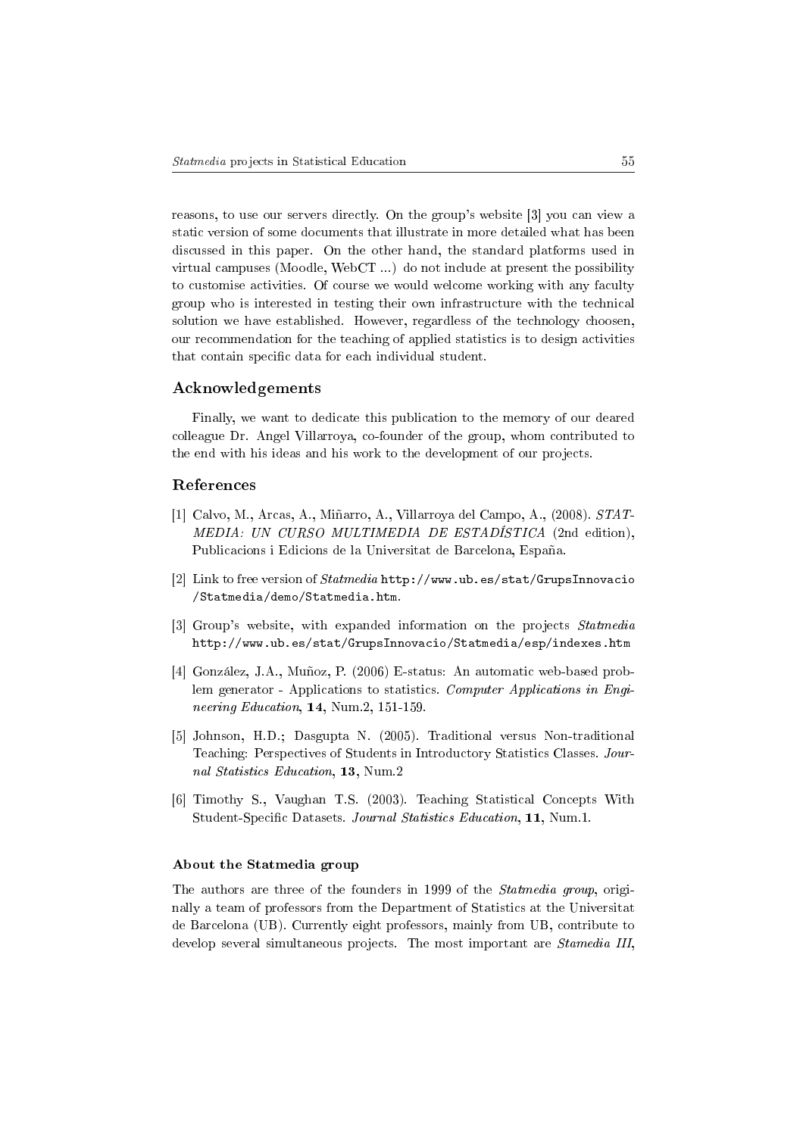reasons, to use our servers directly. On the group's website [3] you can view a static version of some documents that illustrate in more detailed what has been discussed in this paper. On the other hand, the standard platforms used in virtual campuses (Moodle, WebCT ...) do not include at present the possibility to customise activities. Of course we would welcome working with any faculty group who is interested in testing their own infrastructure with the technical solution we have established. However, regardless of the technology choosen, our recommendation for the teaching of applied statistics is to design activities that contain specific data for each individual student.

### Acknowledgements

Finally, we want to dedicate this publication to the memory of our deared colleague Dr. Angel Villarroya, co-founder of the group, whom contributed to the end with his ideas and his work to the development of our projects.

# References

- [1] Calvo, M., Arcas, A., Miñarro, A., Villarroya del Campo, A., (2008). STAT-MEDIA: UN CURSO MULTIMEDIA DE ESTADÍSTICA (2nd edition), Publicacions i Edicions de la Universitat de Barcelona, España.
- [2] Link to free version of Statmedia http://www.ub.es/stat/GrupsInnovacio /Statmedia/demo/Statmedia.htm.
- [3] Group's website, with expanded information on the projects Statmedia http://www.ub.es/stat/GrupsInnovacio/Statmedia/esp/indexes.htm
- [4] González, J.A., Muñoz, P. (2006) E-status: An automatic web-based problem generator - Applications to statistics. Computer Applications in Engineering Education, 14, Num.2, 151-159.
- [5] Johnson, H.D.; Dasgupta N. (2005). Traditional versus Non-traditional Teaching: Perspectives of Students in Introductory Statistics Classes. Journal Statistics Education, 13, Num.2
- [6] Timothy S., Vaughan T.S. (2003). Teaching Statistical Concepts With Student-Specific Datasets. Journal Statistics Education, 11, Num.1.

#### About the Statmedia group

The authors are three of the founders in 1999 of the Statmedia group, originally a team of professors from the Department of Statistics at the Universitat de Barcelona (UB). Currently eight professors, mainly from UB, contribute to develop several simultaneous projects. The most important are Stamedia III,